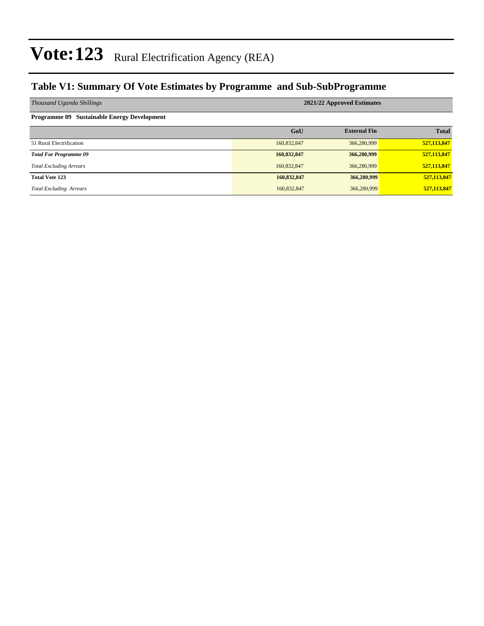### **Table V1: Summary Of Vote Estimates by Programme and Sub-SubProgramme**

| Thousand Uganda Shillings                          | 2021/22 Approved Estimates |                     |              |  |  |  |
|----------------------------------------------------|----------------------------|---------------------|--------------|--|--|--|
| <b>Programme 09 Sustainable Energy Development</b> |                            |                     |              |  |  |  |
|                                                    | GoU                        | <b>External Fin</b> | <b>Total</b> |  |  |  |
| 51 Rural Electrification                           | 160,832,847                | 366,280,999         | 527,113,847  |  |  |  |
| <b>Total For Programme 09</b>                      | 160,832,847                | 366,280,999         | 527,113,847  |  |  |  |
| <b>Total Excluding Arrears</b>                     | 160,832,847                | 366,280,999         | 527,113,847  |  |  |  |
| <b>Total Vote 123</b>                              | 160,832,847                | 366,280,999         | 527,113,847  |  |  |  |
| <b>Total Excluding Arrears</b>                     | 160,832,847                | 366,280,999         | 527,113,847  |  |  |  |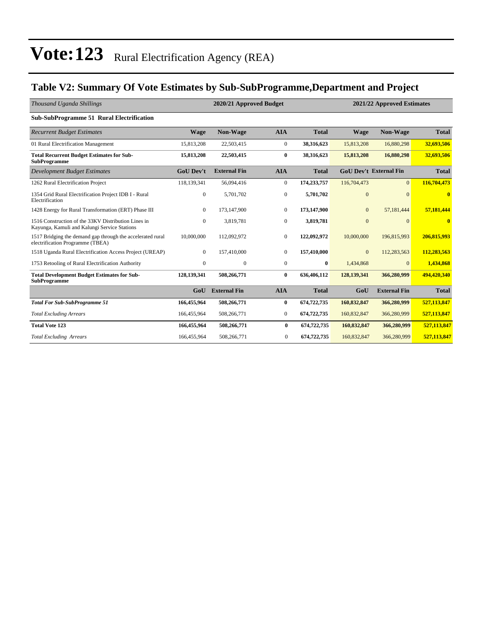### **Table V2: Summary Of Vote Estimates by Sub-SubProgramme,Department and Project**

| Thousand Uganda Shillings                                                                           |                  | 2020/21 Approved Budget |                  | 2021/22 Approved Estimates |                  |                               |              |
|-----------------------------------------------------------------------------------------------------|------------------|-------------------------|------------------|----------------------------|------------------|-------------------------------|--------------|
| <b>Sub-SubProgramme 51 Rural Electrification</b>                                                    |                  |                         |                  |                            |                  |                               |              |
| <b>Recurrent Budget Estimates</b>                                                                   | <b>Wage</b>      | <b>Non-Wage</b>         | <b>AIA</b>       | <b>Total</b>               | <b>Wage</b>      | Non-Wage                      | <b>Total</b> |
| 01 Rural Electrification Management                                                                 | 15,813,208       | 22,503,415              | $\boldsymbol{0}$ | 38,316,623                 | 15,813,208       | 16,880,298                    | 32,693,506   |
| <b>Total Recurrent Budget Estimates for Sub-</b><br><b>SubProgramme</b>                             | 15,813,208       | 22,503,415              | $\bf{0}$         | 38,316,623                 | 15,813,208       | 16,880,298                    | 32,693,506   |
| <b>Development Budget Estimates</b>                                                                 | <b>GoU Dev't</b> | <b>External Fin</b>     | <b>AIA</b>       | <b>Total</b>               |                  | <b>GoU Dev't External Fin</b> | <b>Total</b> |
| 1262 Rural Electrification Project                                                                  | 118,139,341      | 56,094,416              | $\mathbf{0}$     | 174,233,757                | 116,704,473      | $\overline{0}$                | 116,704,473  |
| 1354 Grid Rural Electrification Project IDB I - Rural<br>Electrification                            | $\boldsymbol{0}$ | 5,701,702               | $\boldsymbol{0}$ | 5,701,702                  | $\Omega$         | $\Omega$                      | $\bf{0}$     |
| 1428 Energy for Rural Transformation (ERT) Phase III                                                | $\overline{0}$   | 173,147,900             | $\mathbf{0}$     | 173,147,900                | $\boldsymbol{0}$ | 57,181,444                    | 57,181,444   |
| 1516 Construction of the 33KV Distribution Lines in<br>Kayunga, Kamuli and Kalungi Service Stations | $\boldsymbol{0}$ | 3,819,781               | $\boldsymbol{0}$ | 3,819,781                  | $\mathbf{0}$     | $\Omega$                      | $\bf{0}$     |
| 1517 Bridging the demand gap through the accelerated rural<br>electrification Programme (TBEA)      | 10,000,000       | 112,092,972             | $\mathbf{0}$     | 122,092,972                | 10,000,000       | 196,815,993                   | 206,815,993  |
| 1518 Uganda Rural Electrification Access Project (UREAP)                                            | $\Omega$         | 157,410,000             | $\Omega$         | 157,410,000                | $\mathbf{0}$     | 112,283,563                   | 112,283,563  |
| 1753 Retooling of Rural Electrification Authority                                                   | $\mathbf{0}$     | $\mathbf{0}$            | $\mathbf{0}$     | $\bf{0}$                   | 1,434,868        | $\Omega$                      | 1,434,868    |
| <b>Total Development Budget Estimates for Sub-</b><br><b>SubProgramme</b>                           | 128,139,341      | 508,266,771             | 0                | 636,406,112                | 128,139,341      | 366,280,999                   | 494,420,340  |
|                                                                                                     | GoU              | <b>External Fin</b>     | <b>AIA</b>       | <b>Total</b>               | GoU              | <b>External Fin</b>           | <b>Total</b> |
| <b>Total For Sub-SubProgramme 51</b>                                                                | 166,455,964      | 508,266,771             | $\bf{0}$         | 674,722,735                | 160,832,847      | 366,280,999                   | 527,113,847  |
| <b>Total Excluding Arrears</b>                                                                      | 166,455,964      | 508,266,771             | $\mathbf{0}$     | 674,722,735                | 160,832,847      | 366,280,999                   | 527,113,847  |
| <b>Total Vote 123</b>                                                                               | 166,455,964      | 508,266,771             | $\bf{0}$         | 674,722,735                | 160,832,847      | 366,280,999                   | 527,113,847  |
| <b>Total Excluding Arrears</b>                                                                      | 166,455,964      | 508,266,771             | $\overline{0}$   | 674,722,735                | 160,832,847      | 366,280,999                   | 527,113,847  |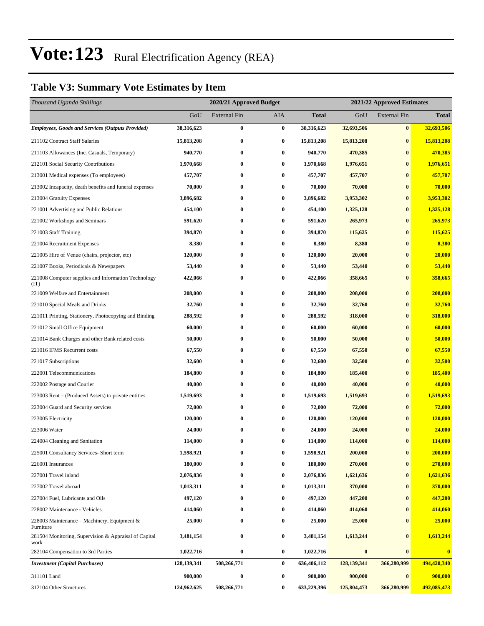### **Table V3: Summary Vote Estimates by Item**

| Thousand Uganda Shillings                                     |             | 2020/21 Approved Budget |                  |              | 2021/22 Approved Estimates |                     |              |  |
|---------------------------------------------------------------|-------------|-------------------------|------------------|--------------|----------------------------|---------------------|--------------|--|
|                                                               | GoU         | <b>External Fin</b>     | <b>AIA</b>       | <b>Total</b> | GoU                        | <b>External Fin</b> | <b>Total</b> |  |
| <b>Employees, Goods and Services (Outputs Provided)</b>       | 38,316,623  | $\bf{0}$                | $\boldsymbol{0}$ | 38,316,623   | 32,693,506                 | $\bf{0}$            | 32,693,506   |  |
| 211102 Contract Staff Salaries                                | 15,813,208  | $\bf{0}$                | $\bf{0}$         | 15,813,208   | 15,813,208                 | $\bf{0}$            | 15,813,208   |  |
| 211103 Allowances (Inc. Casuals, Temporary)                   | 940,770     | $\bf{0}$                | $\bf{0}$         | 940,770      | 470,385                    | $\bf{0}$            | 470,385      |  |
| 212101 Social Security Contributions                          | 1,970,668   | $\bf{0}$                | $\bf{0}$         | 1,970,668    | 1,976,651                  | $\bf{0}$            | 1,976,651    |  |
| 213001 Medical expenses (To employees)                        | 457,707     | $\bf{0}$                | $\bf{0}$         | 457,707      | 457,707                    | $\bf{0}$            | 457,707      |  |
| 213002 Incapacity, death benefits and funeral expenses        | 70,000      | $\bf{0}$                | $\bf{0}$         | 70,000       | 70,000                     | $\bf{0}$            | 70,000       |  |
| 213004 Gratuity Expenses                                      | 3,896,682   | $\bf{0}$                | $\bf{0}$         | 3,896,682    | 3,953,302                  | $\bf{0}$            | 3,953,302    |  |
| 221001 Advertising and Public Relations                       | 454,100     | $\bf{0}$                | $\bf{0}$         | 454,100      | 1,325,128                  | $\bf{0}$            | 1,325,128    |  |
| 221002 Workshops and Seminars                                 | 591,620     | $\bf{0}$                | $\bf{0}$         | 591,620      | 265,973                    | $\bf{0}$            | 265,973      |  |
| 221003 Staff Training                                         | 394,870     | $\bf{0}$                | $\bf{0}$         | 394,870      | 115,625                    | $\bf{0}$            | 115,625      |  |
| 221004 Recruitment Expenses                                   | 8,380       | $\bf{0}$                | $\bf{0}$         | 8,380        | 8,380                      | $\bf{0}$            | 8,380        |  |
| 221005 Hire of Venue (chairs, projector, etc)                 | 120,000     | $\bf{0}$                | $\bf{0}$         | 120,000      | 20,000                     | $\bf{0}$            | 20,000       |  |
| 221007 Books, Periodicals & Newspapers                        | 53,440      | $\bf{0}$                | $\bf{0}$         | 53,440       | 53,440                     | $\bf{0}$            | 53,440       |  |
| 221008 Computer supplies and Information Technology<br>(TT)   | 422,066     | $\bf{0}$                | $\bf{0}$         | 422,066      | 358,665                    | $\bf{0}$            | 358,665      |  |
| 221009 Welfare and Entertainment                              | 208,000     | $\bf{0}$                | $\bf{0}$         | 208,000      | 208,000                    | $\bf{0}$            | 208,000      |  |
| 221010 Special Meals and Drinks                               | 32,760      | $\bf{0}$                | $\bf{0}$         | 32,760       | 32,760                     | $\boldsymbol{0}$    | 32,760       |  |
| 221011 Printing, Stationery, Photocopying and Binding         | 288,592     | $\bf{0}$                | $\bf{0}$         | 288,592      | 318,000                    | $\bf{0}$            | 318,000      |  |
| 221012 Small Office Equipment                                 | 60,000      | $\bf{0}$                | $\bf{0}$         | 60,000       | 60,000                     | $\bf{0}$            | 60,000       |  |
| 221014 Bank Charges and other Bank related costs              | 50,000      | $\bf{0}$                | $\bf{0}$         | 50,000       | 50,000                     | $\bf{0}$            | 50,000       |  |
| 221016 IFMS Recurrent costs                                   | 67,550      | $\bf{0}$                | $\bf{0}$         | 67,550       | 67,550                     | $\bf{0}$            | 67,550       |  |
| 221017 Subscriptions                                          | 32,600      | $\bf{0}$                | $\bf{0}$         | 32,600       | 32,500                     | $\bf{0}$            | 32,500       |  |
| 222001 Telecommunications                                     | 184,800     | $\bf{0}$                | $\bf{0}$         | 184,800      | 185,400                    | $\bf{0}$            | 185,400      |  |
| 222002 Postage and Courier                                    | 40,000      | $\bf{0}$                | $\bf{0}$         | 40,000       | 40,000                     | $\bf{0}$            | 40,000       |  |
| 223003 Rent – (Produced Assets) to private entities           | 1,519,693   | $\bf{0}$                | $\bf{0}$         | 1,519,693    | 1,519,693                  | $\bf{0}$            | 1,519,693    |  |
| 223004 Guard and Security services                            | 72,000      | $\bf{0}$                | $\bf{0}$         | 72,000       | 72,000                     | $\bf{0}$            | 72,000       |  |
| 223005 Electricity                                            | 120,000     | $\bf{0}$                | $\bf{0}$         | 120,000      | 120,000                    | $\bf{0}$            | 120,000      |  |
| 223006 Water                                                  | 24,000      | 0                       | $\bf{0}$         | 24,000       | 24,000                     | $\bf{0}$            | 24,000       |  |
| 224004 Cleaning and Sanitation                                | 114,000     | $\bf{0}$                | $\bf{0}$         | 114,000      | 114,000                    | $\bf{0}$            | 114,000      |  |
| 225001 Consultancy Services- Short term                       | 1,598,921   | $\bf{0}$                | $\bf{0}$         | 1,598,921    | 200,000                    | $\bf{0}$            | 200,000      |  |
| 226001 Insurances                                             | 180,000     | $\bf{0}$                | $\bf{0}$         | 180,000      | 270,000                    | $\bf{0}$            | 270,000      |  |
| 227001 Travel inland                                          | 2,076,836   | $\bf{0}$                | $\bf{0}$         | 2,076,836    | 1,621,636                  | $\bf{0}$            | 1,621,636    |  |
| 227002 Travel abroad                                          | 1,013,311   | 0                       | $\bf{0}$         | 1,013,311    | 370,000                    | $\bf{0}$            | 370,000      |  |
| 227004 Fuel, Lubricants and Oils                              | 497,120     | $\bf{0}$                | $\bf{0}$         | 497,120      | 447,200                    | $\bf{0}$            | 447,200      |  |
| 228002 Maintenance - Vehicles                                 | 414,060     | 0                       | $\bf{0}$         | 414,060      | 414,060                    | $\bf{0}$            | 414,060      |  |
| 228003 Maintenance – Machinery, Equipment $\&$<br>Furniture   | 25,000      | $\bf{0}$                | $\bf{0}$         | 25,000       | 25,000                     | $\bf{0}$            | 25,000       |  |
| 281504 Monitoring, Supervision & Appraisal of Capital<br>work | 3,481,154   | $\bf{0}$                | $\bf{0}$         | 3,481,154    | 1,613,244                  | $\bf{0}$            | 1,613,244    |  |
| 282104 Compensation to 3rd Parties                            | 1,022,716   | $\bf{0}$                | $\bf{0}$         | 1,022,716    | $\pmb{0}$                  | $\bf{0}$            | $\bf{0}$     |  |
| <b>Investment</b> (Capital Purchases)                         | 128,139,341 | 508,266,771             | $\bf{0}$         | 636,406,112  | 128, 139, 341              | 366,280,999         | 494,420,340  |  |
| 311101 Land                                                   | 900,000     | $\boldsymbol{0}$        | $\bf{0}$         | 900,000      | 900,000                    | $\bf{0}$            | 900,000      |  |
| 312104 Other Structures                                       | 124,962,625 | 508,266,771             | $\bf{0}$         | 633,229,396  | 125,804,473                | 366,280,999         | 492,085,473  |  |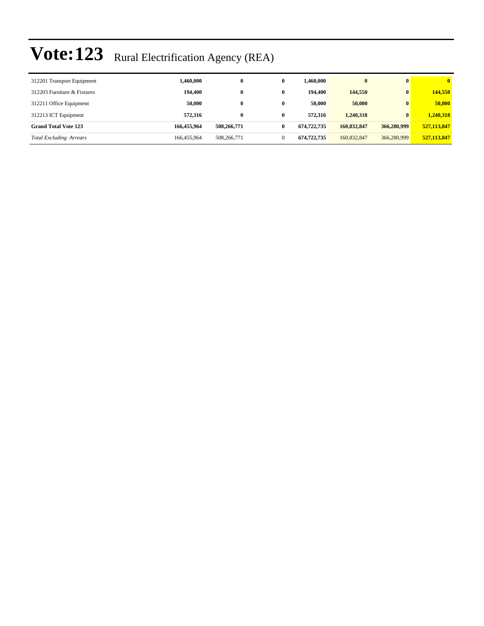| 312201 Transport Equipment     | 1.460.000   |             | 0 | 1.460.000   |             | $\mathbf{0}$ | $\mathbf{0}$ |
|--------------------------------|-------------|-------------|---|-------------|-------------|--------------|--------------|
| 312203 Furniture & Fixtures    | 194,400     |             | 0 | 194.400     | 144,550     | $\mathbf{0}$ | 144,550      |
| 312211 Office Equipment        | 50.000      |             | 0 | 50,000      | 50,000      | $\mathbf{0}$ | 50,000       |
| 312213 ICT Equipment           | 572,316     |             | 0 | 572,316     | 1.240.318   | $\mathbf{0}$ | 1,240,318    |
| <b>Grand Total Vote 123</b>    | 166,455,964 | 508,266,771 | 0 | 674,722,735 | 160,832,847 | 366,280,999  | 527,113,847  |
| <b>Total Excluding Arrears</b> | 166,455,964 | 508,266,771 |   | 674,722,735 | 160,832,847 | 366,280,999  | 527,113,847  |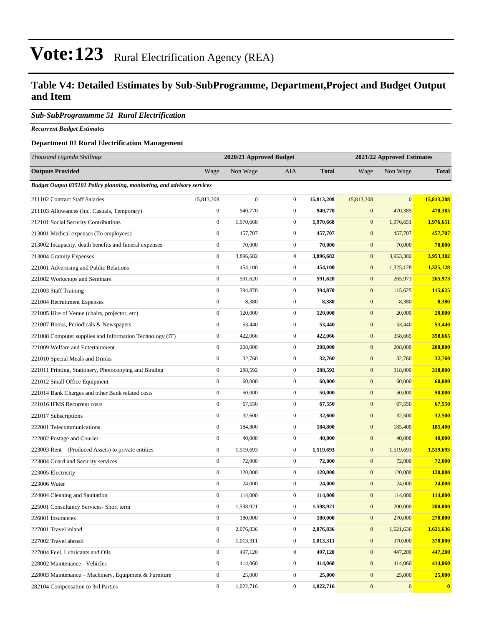### **Table V4: Detailed Estimates by Sub-SubProgramme, Department,Project and Budget Output and Item**

#### *Sub-SubProgrammme 51 Rural Electrification*

*Recurrent Budget Estimates*

#### **Department 01 Rural Electrification Management**

| Thousand Uganda Shillings                                                      |                  | 2020/21 Approved Budget |                  | 2021/22 Approved Estimates |                  |                |              |
|--------------------------------------------------------------------------------|------------------|-------------------------|------------------|----------------------------|------------------|----------------|--------------|
| <b>Outputs Provided</b>                                                        | Wage             | Non Wage                | <b>AIA</b>       | <b>Total</b>               | Wage             | Non Wage       | <b>Total</b> |
| <b>Budget Output 035101 Policy planning, monitoring, and advisory services</b> |                  |                         |                  |                            |                  |                |              |
| 211102 Contract Staff Salaries                                                 | 15,813,208       | $\boldsymbol{0}$        | $\boldsymbol{0}$ | 15,813,208                 | 15,813,208       | $\overline{0}$ | 15,813,208   |
| 211103 Allowances (Inc. Casuals, Temporary)                                    | $\boldsymbol{0}$ | 940,770                 | $\boldsymbol{0}$ | 940,770                    | $\boldsymbol{0}$ | 470,385        | 470,385      |
| 212101 Social Security Contributions                                           | $\boldsymbol{0}$ | 1,970,668               | $\boldsymbol{0}$ | 1,970,668                  | $\boldsymbol{0}$ | 1,976,651      | 1,976,651    |
| 213001 Medical expenses (To employees)                                         | $\boldsymbol{0}$ | 457,707                 | $\boldsymbol{0}$ | 457,707                    | $\boldsymbol{0}$ | 457,707        | 457,707      |
| 213002 Incapacity, death benefits and funeral expenses                         | $\boldsymbol{0}$ | 70,000                  | $\boldsymbol{0}$ | 70,000                     | $\boldsymbol{0}$ | 70,000         | 70,000       |
| 213004 Gratuity Expenses                                                       | $\boldsymbol{0}$ | 3,896,682               | $\boldsymbol{0}$ | 3,896,682                  | $\boldsymbol{0}$ | 3,953,302      | 3,953,302    |
| 221001 Advertising and Public Relations                                        | $\boldsymbol{0}$ | 454,100                 | $\boldsymbol{0}$ | 454,100                    | $\boldsymbol{0}$ | 1,325,128      | 1,325,128    |
| 221002 Workshops and Seminars                                                  | $\boldsymbol{0}$ | 591,620                 | $\boldsymbol{0}$ | 591,620                    | $\boldsymbol{0}$ | 265,973        | 265,973      |
| 221003 Staff Training                                                          | $\boldsymbol{0}$ | 394,870                 | $\boldsymbol{0}$ | 394,870                    | $\mathbf{0}$     | 115,625        | 115,625      |
| 221004 Recruitment Expenses                                                    | $\mathbf{0}$     | 8,380                   | $\boldsymbol{0}$ | 8,380                      | $\boldsymbol{0}$ | 8,380          | 8,380        |
| 221005 Hire of Venue (chairs, projector, etc)                                  | $\boldsymbol{0}$ | 120,000                 | $\boldsymbol{0}$ | 120,000                    | $\boldsymbol{0}$ | 20,000         | 20,000       |
| 221007 Books, Periodicals & Newspapers                                         | $\boldsymbol{0}$ | 53,440                  | $\boldsymbol{0}$ | 53,440                     | $\boldsymbol{0}$ | 53,440         | 53,440       |
| 221008 Computer supplies and Information Technology (IT)                       | $\boldsymbol{0}$ | 422,066                 | $\boldsymbol{0}$ | 422,066                    | $\boldsymbol{0}$ | 358,665        | 358,665      |
| 221009 Welfare and Entertainment                                               | $\boldsymbol{0}$ | 208,000                 | $\boldsymbol{0}$ | 208,000                    | $\mathbf{0}$     | 208,000        | 208,000      |
| 221010 Special Meals and Drinks                                                | $\boldsymbol{0}$ | 32,760                  | $\boldsymbol{0}$ | 32,760                     | $\boldsymbol{0}$ | 32,760         | 32,760       |
| 221011 Printing, Stationery, Photocopying and Binding                          | $\boldsymbol{0}$ | 288,592                 | $\boldsymbol{0}$ | 288,592                    | $\boldsymbol{0}$ | 318,000        | 318,000      |
| 221012 Small Office Equipment                                                  | $\boldsymbol{0}$ | 60,000                  | $\boldsymbol{0}$ | 60,000                     | $\boldsymbol{0}$ | 60,000         | 60,000       |
| 221014 Bank Charges and other Bank related costs                               | $\boldsymbol{0}$ | 50,000                  | $\boldsymbol{0}$ | 50,000                     | $\boldsymbol{0}$ | 50,000         | 50,000       |
| 221016 IFMS Recurrent costs                                                    | $\boldsymbol{0}$ | 67,550                  | $\boldsymbol{0}$ | 67,550                     | $\mathbf{0}$     | 67,550         | 67,550       |
| 221017 Subscriptions                                                           | $\boldsymbol{0}$ | 32,600                  | $\boldsymbol{0}$ | 32,600                     | $\boldsymbol{0}$ | 32,500         | 32,500       |
| 222001 Telecommunications                                                      | $\boldsymbol{0}$ | 184,800                 | $\boldsymbol{0}$ | 184,800                    | $\boldsymbol{0}$ | 185,400        | 185,400      |
| 222002 Postage and Courier                                                     | $\boldsymbol{0}$ | 40,000                  | $\boldsymbol{0}$ | 40,000                     | $\boldsymbol{0}$ | 40,000         | 40,000       |
| 223003 Rent – (Produced Assets) to private entities                            | $\boldsymbol{0}$ | 1,519,693               | $\boldsymbol{0}$ | 1,519,693                  | $\boldsymbol{0}$ | 1,519,693      | 1,519,693    |
| 223004 Guard and Security services                                             | $\boldsymbol{0}$ | 72,000                  | $\boldsymbol{0}$ | 72,000                     | $\mathbf{0}$     | 72,000         | 72,000       |
| 223005 Electricity                                                             | $\boldsymbol{0}$ | 120,000                 | $\boldsymbol{0}$ | 120,000                    | $\boldsymbol{0}$ | 120,000        | 120,000      |
| 223006 Water                                                                   | $\boldsymbol{0}$ | 24,000                  | $\boldsymbol{0}$ | 24,000                     | $\boldsymbol{0}$ | 24,000         | 24,000       |
| 224004 Cleaning and Sanitation                                                 | $\boldsymbol{0}$ | 114,000                 | $\boldsymbol{0}$ | 114,000                    | $\mathbf{0}$     | 114,000        | 114,000      |
| 225001 Consultancy Services- Short term                                        | $\boldsymbol{0}$ | 1,598,921               | $\boldsymbol{0}$ | 1,598,921                  | $\boldsymbol{0}$ | 200,000        | 200,000      |
| 226001 Insurances                                                              | $\boldsymbol{0}$ | 180,000                 | $\boldsymbol{0}$ | 180,000                    | $\boldsymbol{0}$ | 270,000        | 270,000      |
| 227001 Travel inland                                                           | $\boldsymbol{0}$ | 2,076,836               | $\boldsymbol{0}$ | 2,076,836                  | $\mathbf{0}$     | 1,621,636      | 1,621,636    |
| 227002 Travel abroad                                                           | $\boldsymbol{0}$ | 1,013,311               | $\boldsymbol{0}$ | 1,013,311                  | $\mathbf{0}$     | 370,000        | 370,000      |
| 227004 Fuel, Lubricants and Oils                                               | $\mathbf{0}$     | 497,120                 | $\boldsymbol{0}$ | 497,120                    | $\bf{0}$         | 447,200        | 447,200      |
| 228002 Maintenance - Vehicles                                                  | $\boldsymbol{0}$ | 414,060                 | $\boldsymbol{0}$ | 414,060                    | $\mathbf{0}$     | 414,060        | 414,060      |
| 228003 Maintenance – Machinery, Equipment & Furniture                          | $\boldsymbol{0}$ | 25,000                  | $\boldsymbol{0}$ | 25,000                     | $\mathbf{0}$     | 25,000         | 25,000       |
| 282104 Compensation to 3rd Parties                                             | $\boldsymbol{0}$ | 1,022,716               | $\boldsymbol{0}$ | 1,022,716                  | $\mathbf{0}$     | 0              | $\mathbf{0}$ |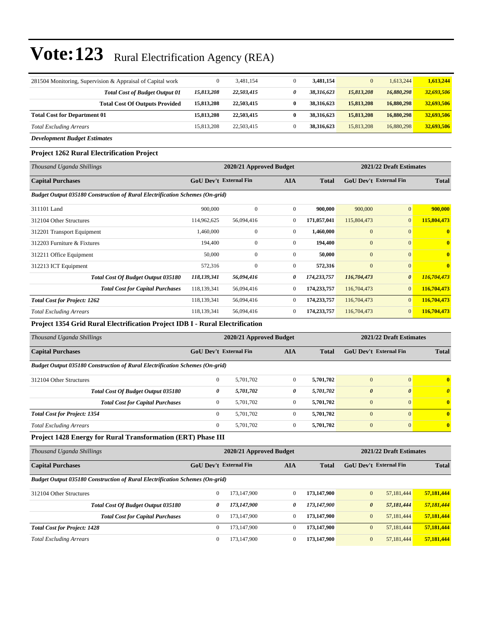| 281504 Monitoring, Supervision & Appraisal of Capital work | $\mathbf{0}$ | 3,481,154  |   | 3.481.154  | $\mathbf{0}$ | 1,613,244  | 1,613,244  |
|------------------------------------------------------------|--------------|------------|---|------------|--------------|------------|------------|
| <b>Total Cost of Budget Output 01</b>                      | 15,813,208   | 22,503,415 | 0 | 38,316,623 | 15,813,208   | 16,880,298 | 32,693,506 |
| <b>Total Cost Of Outputs Provided</b>                      | 15,813,208   | 22,503,415 | 0 | 38.316.623 | 15,813,208   | 16,880,298 | 32,693,506 |
| <b>Total Cost for Department 01</b>                        | 15,813,208   | 22,503,415 | 0 | 38,316,623 | 15,813,208   | 16,880,298 | 32,693,506 |
| <b>Total Excluding Arrears</b>                             | 15.813.208   | 22,503,415 |   | 38.316.623 | 15,813,208   | 16,880,298 | 32,693,506 |
| <b>Development Budget Estimates</b>                        |              |            |   |            |              |            |            |

#### **Project 1262 Rural Electrification Project**

| Thousand Uganda Shillings                                                           |                               | 2020/21 Approved Budget |                |              | 2021/22 Draft Estimates       |                       |                         |
|-------------------------------------------------------------------------------------|-------------------------------|-------------------------|----------------|--------------|-------------------------------|-----------------------|-------------------------|
| <b>Capital Purchases</b>                                                            | <b>GoU Dev't External Fin</b> |                         | <b>AIA</b>     | <b>Total</b> | <b>GoU</b> Dev't External Fin |                       | <b>Total</b>            |
| <b>Budget Output 035180 Construction of Rural Electrification Schemes (On-grid)</b> |                               |                         |                |              |                               |                       |                         |
| 311101 Land                                                                         | 900,000                       | $\mathbf{0}$            | $\overline{0}$ | 900,000      | 900,000                       | $\vert 0 \vert$       | 900,000                 |
| 312104 Other Structures                                                             | 114,962,625                   | 56,094,416              | $\mathbf{0}$   | 171,057,041  | 115,804,473                   | $\overline{0}$        | 115,804,473             |
| 312201 Transport Equipment                                                          | 1,460,000                     | $\mathbf{0}$            | $\mathbf{0}$   | 1,460,000    | $\mathbf{0}$                  | $\overline{0}$        | $\mathbf{0}$            |
| 312203 Furniture & Fixtures                                                         | 194,400                       | $\mathbf{0}$            | $\Omega$       | 194,400      | $\overline{0}$                | $\Omega$              | $\overline{\mathbf{0}}$ |
| 312211 Office Equipment                                                             | 50,000                        | $\mathbf{0}$            | $\mathbf{0}$   | 50,000       | $\overline{0}$                | $\mathbf{0}$          | $\overline{\mathbf{0}}$ |
| 312213 ICT Equipment                                                                | 572,316                       | $\boldsymbol{0}$        | $\overline{0}$ | 572,316      | $\boldsymbol{0}$              | $\overline{0}$        | $\mathbf{0}$            |
| <b>Total Cost Of Budget Output 035180</b>                                           | 118,139,341                   | 56,094,416              | 0              | 174,233,757  | 116,704,473                   | $\boldsymbol{\theta}$ | 116,704,473             |
| <b>Total Cost for Capital Purchases</b>                                             | 118,139,341                   | 56,094,416              | $\theta$       | 174,233,757  | 116,704,473                   | $\overline{0}$        | 116,704,473             |
| <b>Total Cost for Project: 1262</b>                                                 | 118,139,341                   | 56,094,416              | $\mathbf{0}$   | 174,233,757  | 116,704,473                   | $\overline{0}$        | 116,704,473             |
| <b>Total Excluding Arrears</b>                                                      | 118,139,341                   | 56,094,416              | $\mathbf{0}$   | 174,233,757  | 116,704,473                   | $\overline{0}$        | 116,704,473             |

**Project 1354 Grid Rural Electrification Project IDB I - Rural Electrification**

| Thousand Uganda Shillings                                                           | 2020/21 Approved Budget       |           |              |              | 2021/22 Draft Estimates       |              |                       |
|-------------------------------------------------------------------------------------|-------------------------------|-----------|--------------|--------------|-------------------------------|--------------|-----------------------|
| <b>Capital Purchases</b>                                                            | <b>GoU Dev't External Fin</b> |           | AIA          | <b>Total</b> | <b>GoU</b> Dev't External Fin |              | <b>Total</b>          |
| <b>Budget Output 035180 Construction of Rural Electrification Schemes (On-grid)</b> |                               |           |              |              |                               |              |                       |
| 312104 Other Structures                                                             | $\mathbf{0}$                  | 5.701.702 | $\mathbf{0}$ | 5.701.702    | $\mathbf{0}$                  | $\mathbf{0}$ | $\mathbf{0}$          |
| Total Cost Of Budget Output 035180                                                  | 0                             | 5,701,702 | 0            | 5,701,702    | $\boldsymbol{\theta}$         | $\theta$     | $\boldsymbol{\theta}$ |
| <b>Total Cost for Capital Purchases</b>                                             | $\mathbf{0}$                  | 5.701.702 | $\mathbf{0}$ | 5.701.702    | $\overline{0}$                | $\Omega$     | $\mathbf{0}$          |
| <b>Total Cost for Project: 1354</b>                                                 | $\mathbf{0}$                  | 5.701.702 | $\Omega$     | 5.701.702    | $\overline{0}$                | $\Omega$     | $\mathbf{0}$          |
| <b>Total Excluding Arrears</b>                                                      | $\mathbf{0}$                  | 5.701.702 | $\mathbf{0}$ | 5.701.702    | $\overline{0}$                | $\mathbf{0}$ | $\mathbf{0}$          |

#### **Project 1428 Energy for Rural Transformation (ERT) Phase III**

| Thousand Uganda Shillings                                                           | 2020/21 Approved Budget       |             |                |             | 2021/22 Draft Estimates       |            |              |  |
|-------------------------------------------------------------------------------------|-------------------------------|-------------|----------------|-------------|-------------------------------|------------|--------------|--|
| <b>Capital Purchases</b>                                                            | <b>GoU</b> Dev't External Fin |             | AIA            | Total       | <b>GoU</b> Dev't External Fin |            | <b>Total</b> |  |
| <b>Budget Output 035180 Construction of Rural Electrification Schemes (On-grid)</b> |                               |             |                |             |                               |            |              |  |
| 312104 Other Structures                                                             | $\mathbf{0}$                  | 173,147,900 | $\mathbf{0}$   | 173,147,900 | $\mathbf{0}$                  | 57.181.444 | 57,181,444   |  |
| Total Cost Of Budget Output 035180                                                  | 0                             | 173,147,900 | 0              | 173.147.900 | $\boldsymbol{\theta}$         | 57,181,444 | 57,181,444   |  |
| <b>Total Cost for Capital Purchases</b>                                             | $\mathbf{0}$                  | 173,147,900 | $\overline{0}$ | 173,147,900 | $\mathbf{0}$                  | 57.181.444 | 57,181,444   |  |
| <b>Total Cost for Project: 1428</b>                                                 | $\Omega$                      | 173,147,900 | $\Omega$       | 173,147,900 | $\mathbf{0}$                  | 57.181.444 | 57,181,444   |  |
| <b>Total Excluding Arrears</b>                                                      | $\theta$                      | 173,147,900 | $\Omega$       | 173,147,900 | $\mathbf{0}$                  | 57.181.444 | 57,181,444   |  |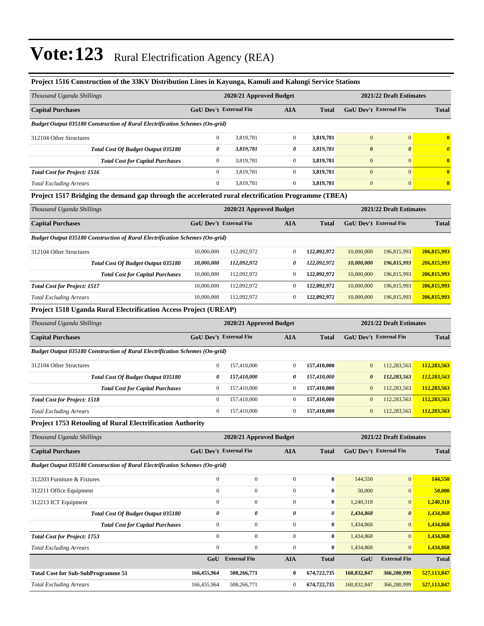| Project 1516 Construction of the 33KV Distribution Lines in Kayunga, Kamuli and Kalungi Service Stations |                               |                         |                  |                  |                               |                               |                       |  |
|----------------------------------------------------------------------------------------------------------|-------------------------------|-------------------------|------------------|------------------|-------------------------------|-------------------------------|-----------------------|--|
| Thousand Uganda Shillings                                                                                |                               | 2020/21 Approved Budget |                  |                  | 2021/22 Draft Estimates       |                               |                       |  |
| <b>Capital Purchases</b>                                                                                 | <b>GoU Dev't External Fin</b> |                         | <b>AIA</b>       | <b>Total</b>     | <b>GoU Dev't External Fin</b> |                               | <b>Total</b>          |  |
| Budget Output 035180 Construction of Rural Electrification Schemes (On-grid)                             |                               |                         |                  |                  |                               |                               |                       |  |
| 312104 Other Structures                                                                                  | $\boldsymbol{0}$              | 3,819,781               | $\boldsymbol{0}$ | 3,819,781        | $\mathbf{0}$                  | $\mathbf{0}$                  | $\bf{0}$              |  |
| Total Cost Of Budget Output 035180                                                                       | 0                             | 3,819,781               | 0                | 3,819,781        | $\boldsymbol{\theta}$         | $\pmb{\theta}$                | $\boldsymbol{\theta}$ |  |
| <b>Total Cost for Capital Purchases</b>                                                                  | $\mathbf{0}$                  | 3,819,781               | $\boldsymbol{0}$ | 3,819,781        | $\mathbf{0}$                  | $\mathbf{0}$                  | $\bf{0}$              |  |
| <b>Total Cost for Project: 1516</b>                                                                      | $\mathbf{0}$                  | 3,819,781               | $\boldsymbol{0}$ | 3,819,781        | $\mathbf{0}$                  | $\overline{0}$                | $\bf{0}$              |  |
| <b>Total Excluding Arrears</b>                                                                           | $\boldsymbol{0}$              | 3,819,781               | $\boldsymbol{0}$ | 3,819,781        | $\boldsymbol{0}$              | $\boldsymbol{0}$              | $\bf{0}$              |  |
| Project 1517 Bridging the demand gap through the accelerated rural electrification Programme (TBEA)      |                               |                         |                  |                  |                               |                               |                       |  |
| Thousand Uganda Shillings                                                                                |                               | 2020/21 Approved Budget |                  |                  | 2021/22 Draft Estimates       |                               |                       |  |
| <b>Capital Purchases</b>                                                                                 | <b>GoU Dev't External Fin</b> |                         | <b>AIA</b>       | <b>Total</b>     | GoU Dev't External Fin        |                               | <b>Total</b>          |  |
| <b>Budget Output 035180 Construction of Rural Electrification Schemes (On-grid)</b>                      |                               |                         |                  |                  |                               |                               |                       |  |
| 312104 Other Structures                                                                                  | 10,000,000                    | 112,092,972             | $\boldsymbol{0}$ | 122,092,972      | 10,000,000                    | 196,815,993                   | 206,815,993           |  |
| Total Cost Of Budget Output 035180                                                                       | 10,000,000                    | 112,092,972             | 0                | 122,092,972      | 10,000,000                    | 196,815,993                   | 206,815,993           |  |
| <b>Total Cost for Capital Purchases</b>                                                                  | 10,000,000                    | 112,092,972             | $\boldsymbol{0}$ | 122,092,972      | 10,000,000                    | 196,815,993                   | 206,815,993           |  |
| <b>Total Cost for Project: 1517</b>                                                                      | 10,000,000                    | 112,092,972             | $\boldsymbol{0}$ | 122,092,972      | 10,000,000                    | 196,815,993                   | 206,815,993           |  |
| <b>Total Excluding Arrears</b>                                                                           | 10,000,000                    | 112,092,972             | $\boldsymbol{0}$ | 122,092,972      | 10,000,000                    | 196,815,993                   | 206,815,993           |  |
| <b>Project 1518 Uganda Rural Electrification Access Project (UREAP)</b>                                  |                               |                         |                  |                  |                               |                               |                       |  |
| Thousand Uganda Shillings                                                                                | 2020/21 Approved Budget       |                         |                  |                  | 2021/22 Draft Estimates       |                               |                       |  |
| <b>Capital Purchases</b>                                                                                 | <b>GoU Dev't External Fin</b> |                         | <b>AIA</b>       | <b>Total</b>     | GoU Dev't External Fin        |                               | <b>Total</b>          |  |
| <b>Budget Output 035180 Construction of Rural Electrification Schemes (On-grid)</b>                      |                               |                         |                  |                  |                               |                               |                       |  |
| 312104 Other Structures                                                                                  | $\mathbf{0}$                  | 157,410,000             | $\boldsymbol{0}$ | 157,410,000      | $\mathbf{0}$                  | 112,283,563                   | 112,283,563           |  |
| Total Cost Of Budget Output 035180                                                                       | 0                             | 157,410,000             | 0                | 157,410,000      | $\boldsymbol{\theta}$         | 112,283,563                   | 112,283,563           |  |
| <b>Total Cost for Capital Purchases</b>                                                                  | $\mathbf{0}$                  | 157,410,000             | $\boldsymbol{0}$ | 157,410,000      | $\mathbf{0}$                  | 112,283,563                   | 112,283,563           |  |
| <b>Total Cost for Project: 1518</b>                                                                      | $\mathbf{0}$                  | 157,410,000             | $\boldsymbol{0}$ | 157,410,000      | $\mathbf{0}$                  | 112,283,563                   | 112,283,563           |  |
| <b>Total Excluding Arrears</b>                                                                           | $\mathbf{0}$                  | 157,410,000             | $\boldsymbol{0}$ | 157,410,000      | $\mathbf{0}$                  | 112,283,563                   | 112,283,563           |  |
| <b>Project 1753 Retooling of Rural Electrification Authority</b>                                         |                               |                         |                  |                  |                               |                               |                       |  |
| Thousand Uganda Shillings                                                                                |                               | 2020/21 Approved Budget |                  |                  |                               | 2021/22 Draft Estimates       |                       |  |
| <b>Capital Purchases</b>                                                                                 | <b>GoU Dev't External Fin</b> |                         | <b>AIA</b>       | Total            |                               | <b>GoU Dev't External Fin</b> | <b>Total</b>          |  |
| Budget Output 035180 Construction of Rural Electrification Schemes (On-grid)                             |                               |                         |                  |                  |                               |                               |                       |  |
| 312203 Furniture & Fixtures                                                                              | $\boldsymbol{0}$              | $\boldsymbol{0}$        | $\boldsymbol{0}$ | $\boldsymbol{0}$ | 144,550                       | $\boldsymbol{0}$              | 144,550               |  |
| 312211 Office Equipment                                                                                  | $\boldsymbol{0}$              | $\boldsymbol{0}$        | $\boldsymbol{0}$ | 0                | 50,000                        | $\mathbf{0}$                  | 50,000                |  |
| 312213 ICT Equipment                                                                                     | $\boldsymbol{0}$              | $\boldsymbol{0}$        | $\boldsymbol{0}$ | 0                | 1,240,318                     | $\boldsymbol{0}$              | 1,240,318             |  |
| Total Cost Of Budget Output 035180                                                                       | 0                             | 0                       | 0                | 0                | 1,434,868                     | 0                             | 1,434,868             |  |
| <b>Total Cost for Capital Purchases</b>                                                                  | $\boldsymbol{0}$              | $\boldsymbol{0}$        | $\boldsymbol{0}$ | $\bf{0}$         | 1,434,868                     | $\mathbf{0}$                  | 1,434,868             |  |
| <b>Total Cost for Project: 1753</b>                                                                      | $\boldsymbol{0}$              | $\boldsymbol{0}$        | $\boldsymbol{0}$ | $\bf{0}$         | 1,434,868                     | $\overline{0}$                | 1,434,868             |  |
| <b>Total Excluding Arrears</b>                                                                           | $\boldsymbol{0}$              | $\boldsymbol{0}$        | $\boldsymbol{0}$ | $\boldsymbol{0}$ | 1,434,868                     | $\mathbf{0}$                  | 1,434,868             |  |
|                                                                                                          | GoU                           | <b>External Fin</b>     | <b>AIA</b>       | <b>Total</b>     | GoU                           | <b>External Fin</b>           | <b>Total</b>          |  |
| <b>Total Cost for Sub-SubProgramme 51</b>                                                                | 166,455,964                   | 508,266,771             | 0                | 674,722,735      | 160,832,847                   | 366,280,999                   | 527,113,847           |  |
| <b>Total Excluding Arrears</b>                                                                           | 166,455,964                   | 508,266,771             | 0                | 674,722,735      | 160,832,847                   | 366,280,999                   | 527,113,847           |  |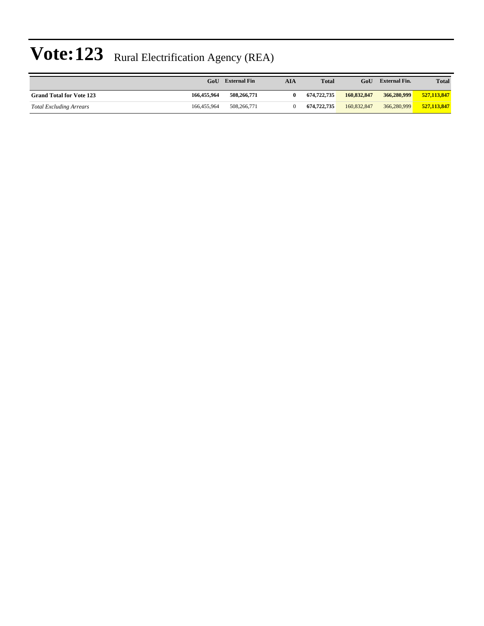|                                 | GoU         | <b>External Fin</b> | AIA | <b>Total</b> | GoU         | <b>External Fin.</b> | <b>Total</b> |
|---------------------------------|-------------|---------------------|-----|--------------|-------------|----------------------|--------------|
| <b>Grand Total for Vote 123</b> | 166,455,964 | 508,266,771         |     | 674,722,735  | 160,832,847 | 366,280,999          | 527,113,847  |
| <b>Total Excluding Arrears</b>  | 166,455,964 | 508,266,771         |     | 674,722,735  | 160,832,847 | 366,280,999          | 527,113,847  |